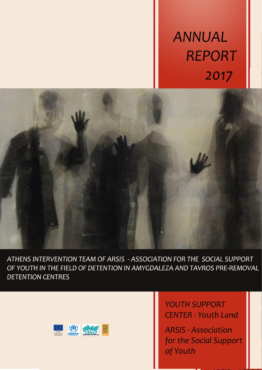# **ANNUAL REPORT** 2017



ATHENS INTERVENTION TEAM OF ARSIS - ASSOCIATION FOR THE SOCIAL SUPPORT OF YOUTH IN THE FIELD OF DETENTION IN AMYGDALEZA AND TAVROS PRE-REMOVAL **DETENTION CENTRES** 



**YOUTH SUPPORT CENTER - Youth Land** 

**ARSIS - Association** for the Social Support of Youth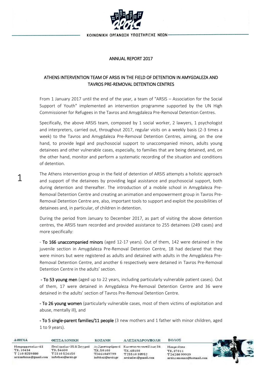

#### ANNUAL REPORT 2017

### ATHENS INTERVENTION TEAM OF ARSIS IN THE FIELD OF DETENTION IN AMYGDALEZA AND TAVROS PRE-REMOVAL DETENTION CENTRES

From 1 January 2017 until the end of the year, a team of "ARSIS – Association for the Social Support of Youth" implemented an intervention programme supported by the UN High Commissioner for Refugees in the Tavros and Amygdaleza Pre-Removal Detention Centres.

Specifically, the above ARSIS team, composed by 1 social worker, 2 lawyers, 1 psychologist and interpreters, carried out, throughout 2017, regular visits on a weekly basis (2-3 times a week) to the Tavros and Amygdaleza Pre-Removal Detention Centres, aiming, on the one hand, to provide legal and psychosocial support to unaccompanied minors, adults young detainees and other vulnerable cases, especially, to families that are being detained, and, on the other hand, monitor and perform a systematic recording of the situation and conditions of detention.

The Athens intervention group in the field of detention of ARSIS attempts a holistic approach and support of the detainees by providing legal assistance and psychosocial support, both during detention and thereafter. The introduction of a mobile school in Amygdaleza Pre-Removal Detention Centre and creating an animation and empowerment group in Tavros Pre-Removal Detention Centre are, also, important tools to support and exploit the possibilities of detainees and, in particular, of children in detention.

1

During the period from January to December 2017, as part of visiting the above detention centres, the ARSIS team recorded and provided assistance to 255 detainees (249 cases) and more specifically:

- To 166 unaccompanied minors (aged 12-17 years). Out of them, 142 were detained in the juvenile section in Amygdaleza Pre-Removal Detention Centre, 18 had declared that they were minors but were registered as adults and detained with adults in the Amygdaleza Pre-Removal Detention Centre, and another 6 respectively were detained in Tavros Pre-Removal Detention Centre in the adults' section.

- To 53 young men (aged up to 22 years, including particularly vulnerable patient cases). Out of them, 17 were detained in Amygdaleza Pre-Removal Detention Centre and 36 were detained in the adults' section of Tavros Pre-Removal Detention Centre.

- To 26 young women (particularly vulnerable cases, most of them victims of exploitation and abuse, mentally ill), and

- To 5 single-parent families/11 people (3 new mothers and 1 father with minor children, aged 1 to 9 years).

| <b>AOHNA</b>                                                             | ΘΕΣΣΑΛΟΝΙΚΗ                                                               | <b>KOZANH</b>                                | ΑΛΕΞΑΝΔΡΟΥΠΟΛΗ                                                                            | ΒΟΛΟΣ                                                                      |  |
|--------------------------------------------------------------------------|---------------------------------------------------------------------------|----------------------------------------------|-------------------------------------------------------------------------------------------|----------------------------------------------------------------------------|--|
| Μαυρομματαίων 43<br>T.K. 10434<br>T 210 8259880<br>arsisathina@gmail.com | Πτολεμαίων 35 & Συγγρού<br>T.K. 54630<br>T2310526150<br>infothes@arsis.gr | T.K.50100<br>T2461049799<br>infokoz@arsis.gr | Αγλριστοφόρου 6 Κωνσταντινουπόλεως 34<br>T.K. 68100<br>T2551038952<br>arsisalex@gmail.com | <b>Μακρινίτσα</b><br>T.K. 37011<br>T2428099939<br>arsisxenonas@hotmail.com |  |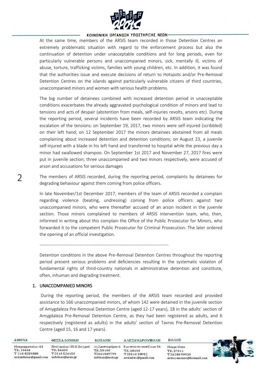

At the same time, members of the ARSIS team recorded in those Detention Centres an extremely problematic situation with regard to the enforcement process but also the continuation of detention under unacceptable conditions and for long periods, even for particularly vulnerable persons and unaccompanied minors, sick, mentally ill, victims of abuse, torture, trafficking victims, families with young children, etc. In addition, it was found that the authorities issue and execute decisions of return to Hotspots and/or Pre-Removal Detention Centres on the islands against particularly vulnerable citizens of third countries, unaccompanied minors and women with serious health problems.

The big number of detainees combined with increased detention period in unacceptable conditions exacerbates the already aggravated psychological condition of minors and lead to tensions and acts of despair (abstention from meals, self-injuries revolts, arsons etc). During the reporting period, several incidents have been recorded by ARSIS team indicating the escalation of the tensions: on September 19, 2017, two minors were self-injured (scribbled) on their left hand; on 12 September 2017 the minors detainees abstained from all meals complaining about increased detention and detention conditions; on August 23, a juvenile self-injured with a blade in his left hand and transferred to hospital while the previous day a minor had swallowed shampoo. On September 1st 2017 and November 27, 2017 fires were put in juvenile section; three unaccompanied and two minors respectively, were accused of arson and accusations for serious damages

The members of ARSIS recorded, during the reporting period, complaints by detainees for degrading behaviour against them coming from police officers.

In late November/1st December 2017, members of the team of ARSIS recorded a complain regarding violence (beating, undressing) coming from police officers against two unaccompanied minors, who were thereafter accused of an arson incident in the juvenile section. Those minors complained to members of ARSIS intervention team, who, then, informed in writing about this complain the Office of the Public Prosecutor for Minors, who forwarded it to the competent Public Prosecutor for Criminal Prosecution. The later ordered the opening of an official investigation.

---------------------------------------------------------------------------------------

Detention conditions in the above Pre-Removal Detention Centres throughout the reporting period present serious problems and deficiencies resulting in the systematic violation of fundamental rights of third-country nationals in administrative detention and constitute, often, inhuman and degrading treatment.

#### 1. UNACCOMPANIED MINORS

During the reporting period, the members of the ARSIS team recorded and provided assistance to 166 unaccompanied minors, of whom 142 were detained in the juvenile section of Amygdaleza Pre-Removal Detention Centre (aged 12-17 years), 18 in the adults' section of Amygdaleza Pre-Removal Detention Centre, as they had been registered as adults, and 6 respectively (registered as adults) in the adults' section of Tavros Pre-Removal Detention Centre (aged 15, 16 and 17 years).

| AOHNA                                                                     | <b>ΘΕΣΣΑΛΟΝΙΚΗ</b>                                                      | <b>KOZANH</b>                                | ΑΛΕΞΑΝΔΡΟΥΠΟΛΗ                                                                             | ΒΟΛΟΣ                                                                      |  |
|---------------------------------------------------------------------------|-------------------------------------------------------------------------|----------------------------------------------|--------------------------------------------------------------------------------------------|----------------------------------------------------------------------------|--|
| Η αυρομματαίων 43<br>T.K. 10434<br>T 210 8259880<br>arsisathina@gmail.com | Πτολεμαίων 35 & Συγγρού<br>TK.54630<br>T2310526150<br>infothes@arsis.gr | T.K.50100<br>T2461049799<br>infokoz@arsis.gr | Αγ.Χριστοφόρου 6 Κωνσταντινουπόλεως 34<br>T.K. 68100<br>T2551038952<br>arsisalex@gmail.com | <b>Μακρινίτσα</b><br>T.K. 37011<br>T2428099939<br>arsisxenonas@hotmail.com |  |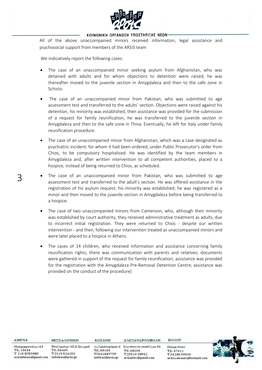

All of the above unaccompanied minors received information, legal assistance and psychosocial support from members of the ARSIS team

We indicatively report the following cases:

- The case of an unaccompanied minor seeking asylum from Afghanistan, who was detained with adults and for whom objections to detention were raised; he was thereafter moved to the juvenile section in Amygdaleza and then to the safe zone in Schisto.
- The case of an unaccompanied minor from Pakistan, who was submitted to age assessment test and transferred to the adults' section. Objections were raised against his detention, his minority was established, then assistance was provided for the submission of a request for family reunification, he was transferred to the juvenile section in Amygdaleza and then to the safe zone in Thiva. Eventually, he left for Italy under family reunification procedure.
- The case of an unaccompanied minor from Afghanistan, which was a case designated as psychiatric incident, for whom it had been ordered, under Public Prosecutor's order from Chios, to be compulsory hospitalised. He was identified by the team members in Amygdaleza and, after written intervention to all competent authorities, placed to a hospice, instead of being returned to Chios, as scheduled.
- The case of an unaccompanied minor from Pakistan, who was submitted to age assessment test and transferred to the adult's section. He was offered assistance in the registration of his asylum request; his minority was established; he was registered as a minor and then moved to the juvenile section in Amygdaleza before being transferred to a hospice.
- The case of two unaccompanied minors from Cameroon, who, although their minority was established by court authority, they received administrative treatment as adults, due to incorrect initial registration. They were returned to Chios - despite our written intervention - and then, following our intervention treated as unaccompanied minors and were later placed to a hospice in Athens.
- The cases of 14 children, who received information and assistance concerning family reunification rights; there was communication with parents and relatives; documents were gathered in support of the request for family reunification; assistance was provided for the registration with the Amygdaleza Pre-Removal Detention Centre; assistance was provided on the conduct of the procedure]

| <b>AOHNA</b>                           | ΘΕΣΣΑΛΟΝΙΚΗ                           | <b>KOZANH</b>                   | ΑΛΕΞΑΝΔΡΟΥΠΟΛΗ                                      | <b>BOAOE</b>                               |
|----------------------------------------|---------------------------------------|---------------------------------|-----------------------------------------------------|--------------------------------------------|
| Μαυρομματαίων 43<br>T.K. 10434         | Πτολεμαίων 35 & Συγγρού<br>T.K. 54630 | T.K.50100                       | Αγλριστοφόρου 6 Κωνσταντινουπόλεως 34<br>T.K. 68100 | <b>Μακρινίτσα</b>                          |
| T 210 8259880<br>arsisathina@gmail.com | T2310526150<br>infothes@arsis.gr      | T2461049799<br>infokoz@arsis.gr | T2551038952<br>arsisalex@gmail.com                  | T.K. 37011<br>T2428099939<br>arsisxenonas@ |

.<br>hotmail.com

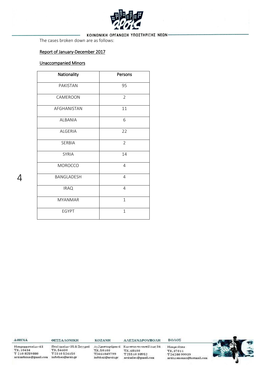

The cases broken down are as follows:

#### Report of January-December 2017

#### Unaccompanied Minors

| Nationality    | Persons        |
|----------------|----------------|
| PAKISTAN       | 95             |
| CAMEROON       | 2              |
| AFGHANISTAN    | 11             |
| <b>ALBANIA</b> | 6              |
| <b>ALGERIA</b> | 22             |
| <b>SERBIA</b>  | $\overline{2}$ |
| <b>SYRIA</b>   | 14             |
| MOROCCO        | $\overline{4}$ |
| BANGLADESH     | $\overline{4}$ |
| <b>IRAQ</b>    | $\overline{4}$ |
| <b>MYANMAR</b> | $\mathbf{1}$   |
| <b>EGYPT</b>   | $\mathbf{1}$   |

AOHNA T.K. 10434

ΘΕΣΣΑΛΟΝΙΚΗ Μαυρομματαίων 43 Πτολεμαίων 35 & Συγγρού T.K.54630 T 210 8259880

arsisathina@gmail.com infothes@arsis.gr

T2310526150

**KOZANH** 

T.K.50100

T2461049799

infokoz@arsis.gr

ΑΛΕΞΑΝΔΡΟΥΠΟΛΗ

T.K. 68100

T2551038952

arsisalex@gmail.com

ΒΟΛΟΣ Αγ.Χριστοφόρου 6 - Κωνσταντινουπόλεως 34

Μακρινίτσα T.K.37011 T2428099939 arsisxenonas@hotmail.com

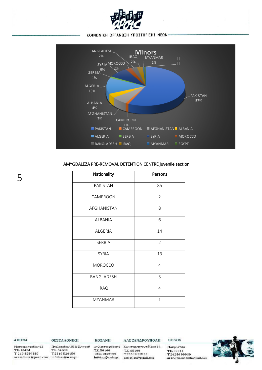



#### AMYGDALEZA PRE-REMOVAL DETENTION CENTRE juvenile section

| Nationality    | Persons        |
|----------------|----------------|
| PAKISTAN       | 85             |
| CAMEROON       | $\overline{2}$ |
| AFGHANISTAN    | 8              |
| <b>ALBANIA</b> | 6              |
| <b>ALGERIA</b> | 14             |
| SERBIA         | $\overline{2}$ |
| <b>SYRIA</b>   | 13             |
| <b>MOROCCO</b> | 4              |
| BANGLADESH     | 3              |
| <b>IRAQ</b>    | 4              |
| <b>MYANMAR</b> | $\mathbf{1}$   |

AOHNA

T.K. 10434

Μαυρομματαίων 43

T 210 8259880

5

arsisathina@gmail.com infothes@arsis.gr

ΘΕΣΣΑΛΟΝΙΚΗ Πτολεμαίων 35 & Συγγρού

T.K.54630

T2310526150

**KOZANH** Αγ.Χριστοφόρου 6 - Κωνσταντινουπόλεως 34 T.K.50100 T2461049799 infokoz@arsis.gr

ΑΛΕΞΑΝΔΡΟΥΠΟΛΗ

T.K. 68100

T2551038952

arsisalex@gmail.com

ΒΟΛΟΣ Μακρινίτσα T.K.37011 T2428099939

arsisxenonas@hotmail.com

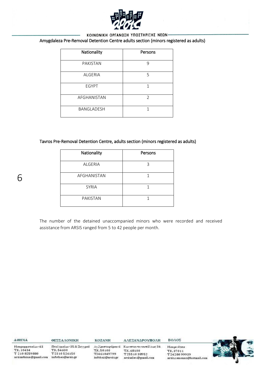

## Amygdaleza Pre-Removal Detention Centre adults section (minors registered as adults)

| Nationality       | Persons        |
|-------------------|----------------|
| PAKISTAN          | 9              |
| ALGERIA           | 5              |
| <b>EGYPT</b>      | 1              |
| AFGHANISTAN       | $\mathfrak{D}$ |
| <b>BANGLADESH</b> | 1              |

#### Tavros Pre-Removal Detention Centre, adults section (minors registered as adults)

| Nationality     | Persons |
|-----------------|---------|
| ALGERIA         | 3       |
| AFGHANISTAN     |         |
| <b>SYRIA</b>    |         |
| <b>PAKISTAN</b> |         |

6

The number of the detained unaccompanied minors who were recorded and received assistance from ARSIS ranged from 5 to 42 people per month.

| <b>AOHNA</b>                                                             | ΘΕΣΣΑΛΟΝΙΚΗ                                                               | <b>KOZANH</b>                                | ΑΛΕΞΑΝΔΡΟΥΠΟΛΗ                                                                            | ΒΟΛΟΣ                                                                      |  |
|--------------------------------------------------------------------------|---------------------------------------------------------------------------|----------------------------------------------|-------------------------------------------------------------------------------------------|----------------------------------------------------------------------------|--|
| Μαυρομματαίων 43<br>T.K. 10434<br>T 210 8259880<br>arsisathina@gmail.com | Πτολεμαίων 35 & Συγγρού<br>T.K. 54630<br>T2310526150<br>infothes@arsis.gr | T.K.50100<br>T2461049799<br>infokoz@arsis.gr | Αγλριστοφόρου 6 Κωνσταντινουπόλεως 34<br>T.K. 68100<br>T2551038952<br>arsisalex@gmail.com | <b>Μακρινίτσα</b><br>T.K. 37011<br>T2428099939<br>arsisxenonas@hotmail.com |  |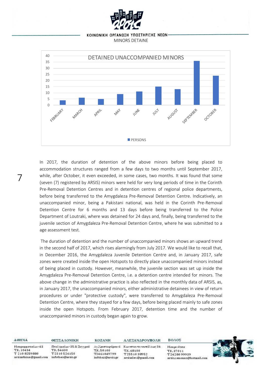#### ΚΟΙΝΩΝΙΚΗ ΟΡΓΑΝΩΣΗ ΥΠΟΣΤΗΡΙΞΗΣ ΝΕΩΝ· MINORS DETAINE



In 2017, the duration of detention of the above minors before being placed to accommodation structures ranged from a few days to two months until September 2017, while, after October, it even exceeded, in some cases, two months. It was found that some (seven (7) registered by ARSIS) minors were held for very long periods of time in the Corinth Pre-Removal Detention Centres and in detention centres of regional police departments, before being transferred to the Amygdaleza Pre-Removal Detention Centre. Indicatively, an unaccompanied minor, being a Pakistani national, was held in the Corinth Pre-Removal Detention Centre for 6 months and 13 days before being transferred to the Police Department of Loutraki, where was detained for 24 days and, finally, being transferred to the juvenile section of Amygdaleza Pre-Removal Detention Centre, where he was submitted to a age assessment test.

The duration of detention and the number of unaccompanied minors shows an upward trend in the second half of 2017, which rises alarmingly from July 2017. We would like to recall that, in December 2016, the Amygdaleza Juvenile Detention Centre and, in January 2017, safe zones were created inside the open Hotspots to directly place unaccompanied minors instead of being placed in custody. However, meanwhile, the juvenile section was set up inside the Amygdaleza Pre-Removal Detention Centre, i.e. a detention centre intended for minors. The above change in the administrative practice is also reflected in the monthly data of ARSIS, as, in January 2017, the unaccompanied minors, either administrative detainees in view of return procedures or under "protective custody", were transferred to Amygdaleza Pre-Removal Detention Centre, where they stayed for a few days, before being placed mainly to safe zones inside the open Hotspots. From February 2017, detention time and the number of unaccompanied minors in custody began again to grow.

**AOHNA** ΘΕΣΣΑΛΟΝΙΚΗ Μαυρομματαίων 43 T.K. 10434 T.K.54630 T 210 8259880 T2310526150

7

**KOZANH** Πτολεμαίων 35 & Συγγρού T.K. 50100 T2461049799 arsisathina@gmail.com infothes@arsis.gr infokoz@arsis.gr ΑΛΕΞΑΝΔΡΟΥΠΟΛΗ

Αγ.Χριστοφόρου 6 Κωνσταντινουπόλεως 34 TE. 68100 T2551038952 arsisalex@gmail.com

**Μακρινίτσα** TE 37011 T2428099939 arsisxenonas@hotmail.com

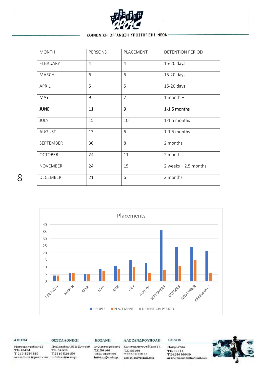

| <b>MONTH</b>     | PERSONS        | PLACEMENT      | <b>DETENTION PERIOD</b> |
|------------------|----------------|----------------|-------------------------|
| FEBRUARY         | $\overline{4}$ | $\overline{4}$ | 15-20 days              |
| <b>MARCH</b>     | 6              | 6              | 15-20 days              |
| APRIL            | 5              | 5              | 15-20 days              |
| <b>MAY</b>       | 9              | $\overline{7}$ | $1$ month +             |
| <b>JUNE</b>      | 11             | $\overline{9}$ | 1-1.5 months            |
| JULY             | 15             | 10             | 1-1.5 months            |
| <b>AUGUST</b>    | 13             | 6              | 1-1.5 months            |
| <b>SEPTEMBER</b> | 36             | 8              | 2 months                |
| <b>OCTOBER</b>   | 24             | 11             | 2 months                |
| <b>NOVEMBER</b>  | 24             | 15             | 2 weeks $-2.5$ months   |
| <b>DECEMBER</b>  | 21             | 6              | 2 months                |



| <b>AOHNA</b>          | ΘΕΣΣΑΛΟΝΙΚΗ             | KOZANH           | ΑΛΕΞΑΝΔΡΟΥΠΟΛΗ                        |
|-----------------------|-------------------------|------------------|---------------------------------------|
| Μαυρομματαίων 43      | Πτολεμαίων 35 & Συγγρού |                  | Αγλριστοφόρου 6 Κωνσταντινουπόλεως 34 |
| T.K. 10434            | T.K. 54630              | T.K.50100        | T.K. 68100                            |
| T 210 8259880         | T2310526150             | T2461049799      | T2551038952                           |
| arsisathina@gmail.com | infothes@arsis.gr       | infokoz@arsis.gr | arsisalex@gmail.com                   |

Μακρινίτσα T.K. 37011<br>T.Z. 37011 arsisxenonas@hotmail.com

ΒΟΛΟΣ



E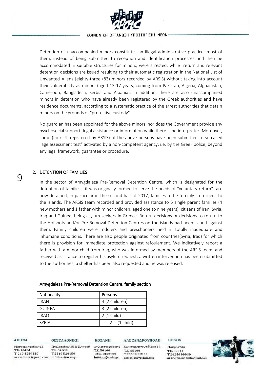

Detention of unaccompanied minors constitutes an illegal administrative practice: most of them, instead of being submitted to reception and identification processes and then be accommodated in suitable structures for minors, were arrested, while return and relevant detention decisions are issued resulting to their automatic registration in the National List of Unwanted Aliens [eighty-three (83) minors recorded by ARSIS) without taking into account their vulnerability as minors (aged 13-17 years, coming from Pakistan, Algeria, Afghanistan, Cameroon, Bangladesh, Serbia and Albania). In addition, there are also unaccompanied minors in detention who have already been registered by the Greek authorities and have residence documents, according to a systematic practice of the arrest authorities that detain minors on the grounds of "protective custody".

No guardian has been appointed for the above minors, nor does the Government provide any psychosocial support, legal assistance or information while there is no interpreter. Moreover, some (four -4- registered by ARSIS) of the above persons have been submitted to so-called "age assessment test" activated by a non-competent agency, i.e. by the Greek police, beyond any legal framework, guarantee or procedure.

#### 2. DETENTION OF FAMILIES

In the sector of Amygdaleza Pre-Removal Detention Centre, which is designated for the detention of families - it was originally formed to serve the needs of "voluntary return"- are now detained, in particular in the second half of 2017, families to be forcibly "returned" to the islands. The ARSIS team recorded and provided assistance to 5 single parent families (4 new mothers and 1 father with minor children, aged one to nine years), citizens of Iran, Syria, Iraq and Guinea, being asylum seekers in Greece. Return decisions or decisions to return to the Hotspots and/or Pre-Removal Detention Centres on the islands had been issued against them. Family children were toddlers and preschoolers held in totally inadequate and inhumane conditions. There are also people originated from countries(Syria, Iraq) for which there is provision for immediate protection against refoulement. We indicatively report a father with a minor child from Iraq, who was informed by members of the ARSIS team, and received assistance to register his asylum request; a written intervention has been submitted to the authorities; a shelter has been also requested and he was released.

#### Amygdaleza Pre-Removal Detention Centre, family section

| Nationality   | Persons               |
|---------------|-----------------------|
| <b>IRAN</b>   | 4 (2 children)        |
| <b>GUINEA</b> | 3 (2 children)        |
| <b>IRAQ</b>   | $2(1)$ child)         |
| <b>SYRIA</b>  | 2 $(1 \text{ child})$ |

**AOHNA** 

T.K. 10434

T 210 8259880

9

Μαυρομματαίων 43 Πτολεμαίων 35 & Συγγρού T.K. 54630 T2310526150 arsisathina@gmail.com infothes@arsis.gr

ΘΕΣΣΑΛΟΝΙΚΗ

**KOZANH** T.K. 50100 T2461049799 infokoz@arsis.gr ΑΛΕΞΑΝΔΡΟΥΠΟΛΗ

Αγ.Χριστοφόρου 6 Κωνσταντινουπόλεως 34 TE. 68100 T2551038952 arsisalex@gmail.com

**Μακρινίτσα** TE 37011 T2428099939 arsisxenonas@hotmail.com

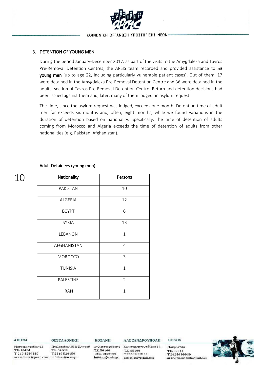

#### 3. DETENTION OF YOUNG MEN

During the period January-December 2017, as part of the visits to the Amygdaleza and Tavros Pre-Removal Detention Centres, the ARSIS team recorded and provided assistance to 53 young men (up to age 22, including particularly vulnerable patient cases). Out of them, 17 were detained in the Amygdaleza Pre-Removal Detention Centre and 36 were detained in the adults' section of Tavros Pre-Removal Detention Centre. Return and detention decisions had been issued against them and, later, many of them lodged an asylum request.

The time, since the asylum request was lodged, exceeds one month. Detention time of adult men far exceeds six months and, often, eight months, while we found variations in the duration of detention based on nationality. Specifically, the time of detention of adults coming from Morocco and Algeria exceeds the time of detention of adults from other nationalities (e.g. Pakistan, Afghanistan).

#### Adult Detainees (young men)

| Nationality    | Persons        |
|----------------|----------------|
| PAKISTAN       | 10             |
| <b>ALGERIA</b> | 12             |
| <b>EGYPT</b>   | 6              |
| <b>SYRIA</b>   | 13             |
| LEBANON        | $\mathbf{1}$   |
| AFGHANISTAN    | 4              |
| MOROCCO        | 3              |
| <b>TUNISIA</b> | $\mathbf{1}$   |
| PALESTINE      | $\overline{2}$ |
| <b>IRAN</b>    | $\mathbf{1}$   |

**AOHNA** 

T.K. 10434

Μαυρομματαίων 43

T 210 8259880

10

ΘΕΣΣΑΛΟΝΙΚΗ

T.K. 54630

arsisathina@gmail.com infothes@arsis.gr

T2310526150

**KOZANH** Πτολεμαίων 35 & Συγγρού Αγ.Χριστοφόρου 6 Κωνσταντινουπόλεως 34 T.K.50100 T2461049799 infokoz@arsis.gr

ΑΛΕΞΑΝΔΡΟΥΠΟΛΗ

T.K. 68100

T2551038952

arsisalex@gmail.com

**Μακρινίτσα** TE 37011 T2428099939 arsisxenonas@hotmail.com

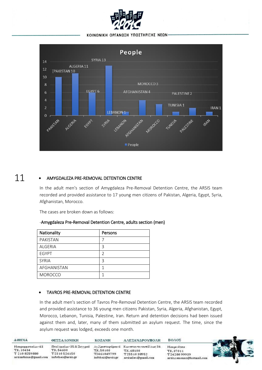



#### 11 • AMYGDALEZA PRE-REMOVAL DETENTION CENTRE

In the adult men's section of Amygdaleza Pre-Removal Detention Centre, the ARSIS team recorded and provided assistance to 17 young men citizens of Pakistan, Algeria, Egypt, Syria, Afghanistan, Morocco.

The cases are broken down as follows:

| Nationality    | Persons |
|----------------|---------|
| PAKISTAN       |         |
| ALGERIA        | ς       |
| <b>EGYPT</b>   | V       |
| <b>SYRIA</b>   | ς       |
| AFGHANISTAN    |         |
| <b>MOROCCO</b> |         |

#### -Amygdaleza Pre-Removal Detention Centre, adults section (men)

#### • TAVROS PRE-REMOVAL DETENTION CENTRE

In the adult men's section of Tavros Pre-Removal Detention Centre, the ARSIS team recorded and provided assistance to 36 young men citizens Pakistan, Syria, Algeria, Afghanistan, Egypt, Morocco, Lebanon, Tunisia, Palestine, Iran. Return and detention decisions had been issued against them and, later, many of them submitted an asylum request. The time, since the asylum request was lodged, exceeds one month.

| <b>AOHNA</b>          | ΘΕΣΣΑΛΟΝΙΚΗ             | <b>KOZANH</b>    | ΑΛΕΞΑΝΔΡΟΥΠΟΛΗ        | ΒΟΛΟΣ                    |  |
|-----------------------|-------------------------|------------------|-----------------------|--------------------------|--|
| Μαυρομματαίων 43      | Πτολεμαίων 35 & Συγγρού | Αγ.Χριστοφόρου 6 | Κωνσταντινουπόλεως 34 | <b>Μακρινίτσα</b>        |  |
| T.K. 10434            | T.K. 54630              | T.K.50100        | T.K. 68100            | T.K. 37011               |  |
| T 210 8259880         | T2310526150             | T2461049799      | T2551038952           | T2428099939              |  |
| arsisathina@gmail.com | infothes@arsis.gr       | infokoz@arsis.gr | arsisalex@gmail.com   | arsisxenonas@hotmail.com |  |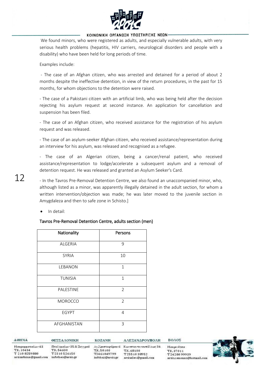

We found minors, who were registered as adults, and especially vulnerable adults, with very serious health problems (hepatitis, HIV carriers, neurological disorders and people with a disability) who have been held for long periods of time.

Examples include:

- The case of an Afghan citizen, who was arrested and detained for a period of about 2 months despite the ineffective detention, in view of the return procedures, in the past for 15 months, for whom objections to the detention were raised.

- The case of a Pakistani citizen with an artificial limb, who was being held after the decision rejecting his asylum request at second instance. An application for cancellation and suspension has been filed.

- The case of an Afghan citizen, who received assistance for the registration of his asylum request and was released.

- The case of an asylum-seeker Afghan citizen, who received assistance/representation during an interview for his asylum, was released and recognised as a refugee.

- The case of an Algerian citizen, being a cancer/renal patient, who received assistance/representation to lodge/accelerate a subsequent asylum and a removal of detention request. He was released and granted an Asylum Seeker's Card.

- In the Tavros Pre-Removal Detention Centre, we also found an unaccompanied minor, who, although listed as a minor, was apparently illegally detained in the adult section, for whom a written intervention/objection was made; he was later moved to the juvenile section in Amygdaleza and then to safe zone in Schisto.]

In detail:

#### Tavros Pre-Removal Detention Centre, adults section (men)

| Nationality    | Persons        |
|----------------|----------------|
| ALGERIA        | 9              |
| <b>SYRIA</b>   | 10             |
| LEBANON        | $\mathbf{1}$   |
| <b>TUNISIA</b> | $\mathbf{1}$   |
| PALESTINE      | $\overline{2}$ |
| <b>MOROCCO</b> | $\overline{2}$ |
| <b>EGYPT</b>   | $\overline{4}$ |
| AFGHANISTAN    | 3              |

**AOHNA** 

ΘΕΣΣΑΛΟΝΙΚΗ Μαυρομματαίων 43 T.K. 10434 T 210 8259880

Πτολεμαίων 35 & Συγγρού T.K. 54630 T2310526150 arsisathina@gmail.com infothes@arsis.gr

**KOZANH** Αγ.Χριστοφόρου 6 Κωνσταντινουπόλεως 34 T.K. 50100 T2461049799 infokoz@arsis.gr

ΑΛΕΞΑΝΔΡΟΥΠΟΛΗ

TE. 68100

T2551038952

arsisalex@gmail.com

**Μακρινίτσα** TE 37011 T2428099939 arsisxenonas@hotmail.com

ΒΟΛΟΣ



12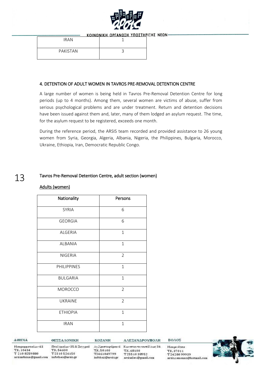

| <b>IRAN</b> |  |
|-------------|--|
| PAKISTAN    |  |

#### 4. DETENTION OF ADULT WOMEN IN TAVROS PRE-REMOVAL DETENTION CENTRE

A large number of women is being held in Tavros Pre-Removal Detention Centre for long periods (up to 4 months). Among them, several women are victims of abuse, suffer from serious psychological problems and are under treatment. Return and detention decisions have been issued against them and, later, many of them lodged an asylum request. The time, for the asylum request to be registered, exceeds one month.

During the reference period, the ARSIS team recorded and provided assistance to 26 young women from Syria, Georgia, Algeria, Albania, Nigeria, the Philippines, Bulgaria, Morocco, Ukraine, Ethiopia, Iran, Democratic Republic Congo.

#### 13 Tavros Pre-Removal Detention Centre, adult section (women)

#### Adults (women)

| Nationality        | Persons        |
|--------------------|----------------|
| <b>SYRIA</b>       | 6              |
| <b>GEORGIA</b>     | 6              |
| <b>ALGERIA</b>     | $\mathbf{1}$   |
| ALBANIA            | $\mathbf{1}$   |
| <b>NIGERIA</b>     | $\overline{2}$ |
| <b>PHILIPPINES</b> | $\mathbf{1}$   |
| <b>BULGARIA</b>    | $\mathbf{1}$   |
| <b>MOROCCO</b>     | $\overline{2}$ |
| <b>UKRAINE</b>     | $\overline{2}$ |
| <b>ETHIOPIA</b>    | $\mathbf{1}$   |
| <b>IRAN</b>        | $\mathbf{1}$   |

AOHNA

T.K. 10434

ΘΕΣΣΑΛΟΝΙΚΗ Μαυρομματαίων 43 T 210 8259880

Πτολεμαίων 35 & Συγγρού T.K. 54630 T2310526150 arsisathina@gmail.com infothes@arsis.gr

Αγ.Χριστοφόρου 6 Κωνσταντινουπόλεως 34 T.K.50100 T2461049799 infokoz@arsis.gr

**KOZANH** 

ΑΛΕΞΑΝΔΡΟΥΠΟΛΗ

T.K. 68100

T2551038952

arsisalex@gmail.com

ΒΟΛΟΣ

**Μακρινίτσα** TE 37011 T2428099939 arsisxenonas@hotmail.com

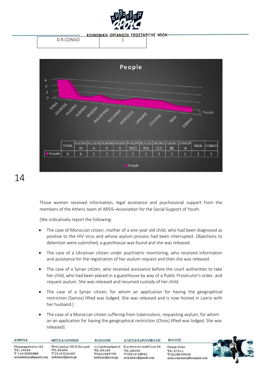

|           | N |  |
|-----------|---|--|
| D R CONGO |   |  |
|           |   |  |



# 14

Those women received information, legal assistance and psychosocial support from the members of the Athens team of ARSIS–Association for the Social Support of Youth.

[We indicatively report the following:

- The case of Moroccan citizen, mother of a one-year old child, who had been diagnosed as positive to the HIV virus and whose asylum process had been interrupted. Objections to detention were submitted, a guesthouse was found and she was released.
- The case of a Ukrainian citizen under psychiatric monitoring, who received information and assistance for the registration of her asylum request and then she was released.
- The case of a Syrian citizen, who received assistance before the court authorities to take her child, who had been placed in a guesthouse by way of a Public Prosecutor's order, and request asylum. She was released and resumed custody of her child.
- The case of a Syrian citizen, for whom an application for having the geographical restriction (Samos) lifted was lodged. She was released and is now hosted in Lavrio with her husband.]
- The case of a Moroccan citizen suffering from tuberculosis, requesting asylum, for whom an an application for having the geographical restriction (Chios) lifted was lodged. She was released]

| AOHNA                                                                    | ΘΕΣΣΑΛΟΝΙΚΗ                                                             | <b>KOZANH</b>                                | ΑΛΕΞΑΝΔΡΟΥΠΟΛΗ                                                                             | ΒΟΛΟΣ                                                                      |  |
|--------------------------------------------------------------------------|-------------------------------------------------------------------------|----------------------------------------------|--------------------------------------------------------------------------------------------|----------------------------------------------------------------------------|--|
| Μαυρομματαίων 43<br>T.K. 10434<br>T 210 8259880<br>arsisathina@gmail.com | Πτολεμαίων 35 & Συγγρού<br>TK.54630<br>T2310526150<br>infothes@arsis.gr | T.K.50100<br>T2461049799<br>infokoz@arsis.gr | Αγ.Χριστοφόρου 6 Κωνσταντινουπόλεως 34<br>T.K. 68100<br>T2551038952<br>arsisalex@gmail.com | <b>Μακρινίτσα</b><br>T.K. 37011<br>T2428099939<br>arsisxenonas@hotmail.com |  |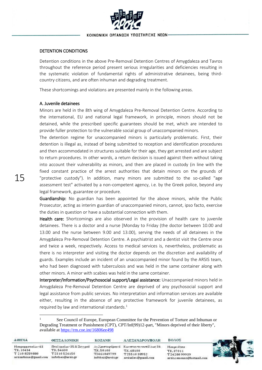

#### DETENTION CONDITIONS

Detention conditions in the above Pre-Removal Detention Centres of Amygdaleza and Tavros throughout the reference period present serious irregularities and deficiencies resulting in the systematic violation of fundamental rights of administrative detainees, being thirdcountry citizens, and are often inhuman and degrading treatment.

These shortcomings and violations are presented mainly in the following areas.

#### A. Juvenile detainees

Minors are held in the 8th wing of Amygdaleza Pre-Removal Detention Centre. According to the international, EU and national legal framework, in principle, minors should not be detained, while the prescribed specific guarantees should be met, which are intended to provide fuller protection to the vulnerable social group of unaccompanied minors.

The detention regime for unaccompanied minors is particularly problematic. First, their detention is illegal as, instead of being submitted to reception and identification procedures and then accommodated in structures suitable for their age, they get arrested and are subject to return procedures. In other words, a return decision is issued against them without taking into account their vulnerability as minors, and then are placed in custody (in line with the fixed constant practice of the arrest authorities that detain minors on the grounds of "protective custody"). In addition, many minors are submitted to the so-called "age assessment test" activated by a non-competent agency, i.e. by the Greek police, beyond any legal framework, guarantee or procedure.

Guardianship: No guardian has been appointed for the above minors, while the Public Prosecutor, acting as interim guardian of unaccompanied minors, cannot, ipso facto, exercise the duties in question or have a substantial connection with them.

Health care: Shortcomings are also observed in the provision of health care to juvenile detainees. There is a doctor and a nurse [Monday to Friday (the doctor between 10.00 and 13.00 and the nurse between 9.00 and 13.00), serving the needs of all detainees in the Amygdaleza Pre-Removal Detention Centre. A psychiatrist and a dentist visit the Centre once and twice a week, respectively. Access to medical services is, nevertheless, problematic as there is no interpreter and visiting the doctor depends on the discretion and availability of guards. Examples include an incident of an unaccompanied minor found by the ARSIS team, who had been diagnosed with tuberculosis and was held in the same container along with other minors. A minor with scabies was held in the same container.

Interpreter/Information/Psychosocial support/Legal assistance: Unaccompanied minors held in Amygdaleza Pre-Removal Detention Centre are deprived of any psychosocial support and legal assistance from public services. No interpretation and information services are available either, resulting in the absence of any protective framework for juvenile detainees, as required by law and international standards. $1$ 

See Council of Europe, European Committee for the Prevention of Torture and Inhuman or Degrading Treatment or Punishment (CPT), CPT/Inf(99)12-part, "Minors deprived of their liberty", available at<https://rm.coe.int/16806ee498>

| <b>AOHNA</b>                                                             | ΘΕΣΣΑΛΟΝΙΚΗ                                                               | <b>KOZANH</b>                                | ΑΛΕΞΑΝΔΡΟΥΠΟΛΗ                                                                             | ΒΟΛΟΣ                                                                      |  |
|--------------------------------------------------------------------------|---------------------------------------------------------------------------|----------------------------------------------|--------------------------------------------------------------------------------------------|----------------------------------------------------------------------------|--|
| Μαυρομματαίων 43<br>T.K. 10434<br>T 210 8259880<br>arsisathina@gmail.com | Πτολεμαίων 35 & Συγγρού<br>T.K. 54630<br>T2310526150<br>infothes@arsis.gr | T.K.50100<br>T2461049799<br>infokoz@arsis.gr | Αγ.Χριστοφόρου 6 Κωνσταντινουπόλεως 34<br>T.K. 68100<br>T2551038952<br>arsisalex@gmail.com | <b>Μακρινίτσα</b><br>T.K. 37011<br>T2428099939<br>arsisxenonas@hotmail.com |  |

**.**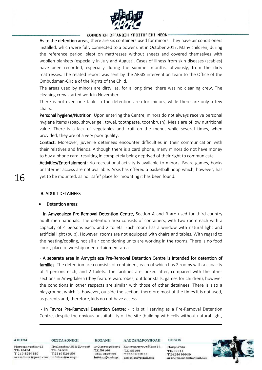

As to the detention areas, there are six containers used for minors. They have air conditioners installed, which were fully connected to a power unit in October 2017. Many children, during the reference period, slept on mattresses without sheets and covered themselves with woollen blankets (especially in July and August). Cases of illness from skin diseases (scabies) have been recorded, especially during the summer months, obviously, from the dirty mattresses. The related report was sent by the ARSIS intervention team to the Office of the Ombudsman-Circle of the Rights of the Child.

The areas used by minors are dirty, as, for a long time, there was no cleaning crew. The cleaning crew started work in November.

There is not even one table in the detention area for minors, while there are only a few chairs.

Personal hygiene/Nutrition: Upon entering the Centre, minors do not always receive personal hygiene items (soap, shower gel, towel, toothpaste, toothbrush). Meals are of low nutritional value. There is a lack of vegetables and fruit on the menu, while several times, when provided, they are of a very poor quality.

Contact: Moreover, juvenile detainees encounter difficulties in their communication with their relatives and friends. Although there is a card phone, many minors do not have money to buy a phone card, resulting in completely being deprived of their right to communicate.

Activities/Entertainment: No recreational activity is available to minors. Board games, books or Internet access are not available. Arsis has offered a basketball hoop which, however, has yet to be mounted, as no "safe" place for mounting it has been found.

#### B. ADULT DETAINEES

#### Detention areas:

 $\overline{\phantom{a}}$ 

- In Amygdaleza Pre-Removal Detention Centre, Section A and B are used for third-country adult men nationals. The detention area consists of containers, with two room each with a capacity of 4 persons each, and 2 toilets. Each room has a window with natural light and artificial light (bulb). However, rooms are not equipped with chairs and tables. With regard to the heating/cooling, not all air conditioning units are working in the rooms. There is no food court, place of worship or entertainment area.

- A separate area in Amygdaleza Pre-Removal Detention Centre is intended for detention of families. The detention area consists of containers, each of which has 2 rooms with a capacity of 4 persons each, and 2 toilets. The facilities are looked after, compared with the other sections in Amygdaleza (they feature wardrobes, outdoor stalls, games for children), however the conditions in other respects are similar with those of other detainees. There is also a playground, which is, however, outside the section, therefore most of the times it is not used, as parents and, therefore, kids do not have access.

- In Tavros Pre-Removal Detention Centre: - it is still serving as a Pre-Removal Detention Centre, despite the obvious unsuitability of the site (building with cells without natural light,

| <b>AOHNA</b>                                                             | ΘΕΣΣΑΛΟΝΙΚΗ                                                               | <b>KOZANH</b>                                | ΑΛΕΞΑΝΔΡΟΥΠΟΛΗ                                                                            | ΒΟΛΟΣ                                                                      |  |
|--------------------------------------------------------------------------|---------------------------------------------------------------------------|----------------------------------------------|-------------------------------------------------------------------------------------------|----------------------------------------------------------------------------|--|
| Μαυρομματαίων 43<br>T.K. 10434<br>T 210 8259880<br>arsisathina@gmail.com | Πτολεμαίων 35 & Συγγρού<br>T.K. 54630<br>T2310526150<br>infothes@arsis.gr | T.K.50100<br>T2461049799<br>infokoz@arsis.gr | Αγλριστοφόρου 6 Κωνσταντινουπόλεως 34<br>T.K. 68100<br>T2551038952<br>arsisalex@gmail.com | <b>Μακρινίτσα</b><br>T.K. 37011<br>T2428099939<br>arsisxenonas@hotmail.com |  |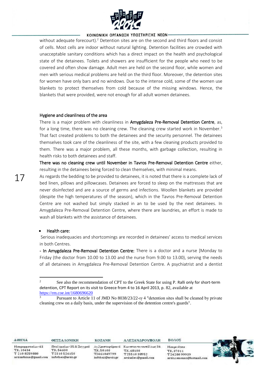

without adequate forecourt).<sup>2</sup> Detention sites are on the second and third floors and consist of cells. Most cells are indoor without natural lighting. Detention facilities are crowded with unacceptable sanitary conditions which has a direct impact on the health and psychological state of the detainees. Toilets and showers are insufficient for the people who need to be covered and often show damage. Adult men are held on the second floor, while women and men with serious medical problems are held on the third floor. Moreover, the detention sites for women have only bars and no windows. Due to the intense cold, some of the women use blankets to protect themselves from cold because of the missing windows. Hence, the blankets that were provided, were not enough for all adult women detainees.

#### Hygiene and cleanliness of the area

There is a major problem with cleanliness in Amygdaleza Pre-Removal Detention Centre, as, for a long time, there was no cleaning crew. The cleaning crew started work in November.<sup>3</sup> That fact created problems to both the detainees and the security personnel. The detainees themselves took care of the cleanliness of the site, with a few cleaning products provided to them. There was a major problem, all these months, with garbage collection, resulting in health risks to both detainees and staff.

There was no cleaning crew until November in Tavros Pre-Removal Detention Centre either, resulting in the detainees being forced to clean themselves, with minimal means.

As regards the bedding to be provided to detainees, it is noted that there is a complete lack of bed linen, pillows and pillowcases. Detainees are forced to sleep on the mattresses that are never disinfected and are a source of germs and infections. Woollen blankets are provided (despite the high temperatures of the season), which in the Tavros Pre-Removal Detention Centre are not washed but simply stacked in an to be used by the next detainees. In Amygdaleza Pre-Removal Detention Centre, where there are laundries, an effort is made to wash all blankets with the assistance of detainees.

#### • Health care:

**.** 

Serious inadequacies and shortcomings are recorded in detainees' access to medical services in both Centres.

- In Amygdaleza Pre-Removal Detention Centre: There is a doctor and a nurse [Monday to Friday (the doctor from 10.00 to 13.00 and the nurse from 9.00 to 13.00), serving the needs of all detainees in Amygdaleza Pre-Removal Detention Centre. A psychiatrist and a dentist

TE. 68100

T2551038952

arsisalex@gmail.com

**AOHNA** 

T.K. 10434

T 210 8259880

17

ΘΕΣΣΑΛΟΝΙΚΗ Μαυρομματαίων 43 Πτολεμαίων 35 & Συγγρού T.K. 54630 T2310526150 arsisathina@gmail.com infothes@arsis.gr

**KOZANH** Αγ.Χριστοφόρου 6 Κωνσταντινουπόλεως 34 T.K.50100 T2461049799 infokoz@arsis.gr

ΑΛΕΞΑΝΔΡΟΥΠΟΛΗ

**Μακρινίτσα** TE 37011 T2428099939 arsisxenonas@hotmail.com



<sup>&</sup>lt;sup>2</sup> See also the recommendation of CPT to the Greek State for using P. Ralli only for short-term detention, CPT Report on its visit to Greece from 4 to 16 April 2013, p. 82, available at <https://rm.coe.int/1680696620>

<sup>3</sup> Pursuant to Article 11 of JMD No 8038/23/22-ιγ 4 "detention sites shall be cleaned by private cleaning crew on a daily basis, under the supervision of the detention centre's guards".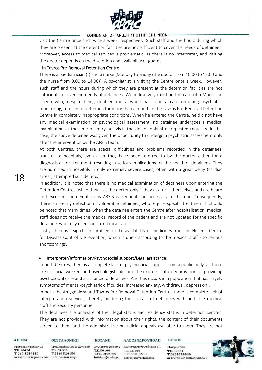

visit the Centre once and twice a week, respectively. Such staff and the hours during which they are present at the detention facilities are not sufficient to cover the needs of detainees. Moreover, access to medical services is problematic, as there is no interpreter, and visiting the doctor depends on the discretion and availability of guards.

#### - In Tavros Pre-Removal Detention Centre:

There is a paediatrician (!) and a nurse [Monday to Friday (the doctor from 10.00 to 13.00 and the nurse from 9.00 to 14.00)]. A psychiatrist is visiting the Centre once a week. However, such staff and the hours during which they are present at the detention facilities are not sufficient to cover the needs of detainees. We indicatively mention the case of a Moroccan citizen who, despite being disabled (on a wheelchair) and a case requiring psychiatric monitoring, remains in detention for more than a month in the Tavros Pre-Removal Detention Centre in completely inappropriate conditions. When he entered the Centre, he did not have any medical examination or psychological assessment, no detainee undergoes a medical examination at the time of entry but visits the doctor only after repeated requests. In this case, the above detainee was given the opportunity to undergo a psychiatric assessment only after the intervention by the ARSIS team.

At both Centres, there are special difficulties and problems recorded in the detainees' transfer to hospitals, even after they have been referred to by the doctor either for a diagnosis or for treatment, resulting in serious implications for the health of detainees. They are admitted in hospitals in only extremely severe cases, often with a great delay (cardiac arrest, attempted suicide, etc.).

In addition, it is noted that there is no medical examination of detainees upon entering the Detention Centres, while they visit the doctor only if they ask for it themselves and are heard and escorted - intervention by ARSIS is frequent and necessary to this end. Consequently, there is no early detection of vulnerable detainees, who require specific treatment. It should be noted that many times, when the detainee enters the Centre after hospitalisation, medical staff does not receive the medical record of the patient and are not updated for the specific detainee, who may need special medical care.

Lastly, there is a significant problem in the availability of medicines from the Hellenic Centre for Disease Control & Prevention, which is due - according to the medical staff - to serious shortcomings.

#### • Interpreter/Information/Psychosocial support/Legal assistance:

In both Centres, there is a complete lack of psychosocial support from a public body, as there are no social workers and psychologists, despite the express statutory provision on providing psychosocial care and assistance to detainees. And this occurs in a population that has largely symptoms of mental/psychiatric difficulties (increased anxiety, withdrawal, depression).

In both the Amygdaleza and Tavros Pre-Removal Detention Centres there is complete lack of interpretation services, thereby hindering the contact of detainees with both the medical staff and security personnel.

The detainees are unaware of their legal status and residency status in detention centres. They are not provided with information about their rights, the content of their documents served to them and the administrative or judicial appeals available to them. They are not

| AOHNA                                                                    | ΘΕΣΣΑΛΟΝΙΚΗ                                                               | <b>KOZANH</b>                                | ΑΛΕΞΑΝΔΡΟΥΠΟΛΗ                                                                            | ΒΟΛΟΣ                                                                      |  |
|--------------------------------------------------------------------------|---------------------------------------------------------------------------|----------------------------------------------|-------------------------------------------------------------------------------------------|----------------------------------------------------------------------------|--|
| Μαυρομματαίων 43<br>T.K. 10434<br>T 210 8259880<br>arsisathina@gmail.com | Πτολεμαίων 35 & Συγγρού<br>T.K. 54630<br>T2310526150<br>infothes@arsis.gr | T.K.50100<br>T2461049799<br>infokoz@arsis.gr | Αγλριστοφόρου 6 Κωνσταντινουπόλεως 34<br>T.K. 68100<br>T2551038952<br>arsisalex@gmail.com | <b>Μακρινίτσα</b><br>T.K. 37011<br>T2428099939<br>arsisxenonas@hotmail.com |  |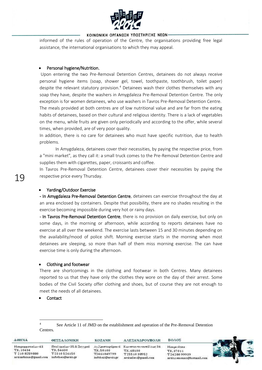

informed of the rules of operation of the Centre, the organisations providing free legal assistance, the international organisations to which they may appeal.

#### Personal hygiene/Nutrition.

Upon entering the two Pre-Removal Detention Centres, detainees do not always receive personal hygiene items (soap, shower gel, towel, toothpaste, toothbrush, toilet paper) despite the relevant statutory provision.<sup>4</sup> Detainees wash their clothes themselves with any soap they have, despite the washers in Amygdaleza Pre-Removal Detention Centre. The only exception is for women detainees, who use washers in Tavros Pre-Removal Detention Centre. The meals provided at both centres are of low nutritional value and are far from the eating habits of detainees, based on their cultural and religious identity. There is a lack of vegetables on the menu, while fruits are given only periodically and according to the offer, while several times, when provided, are of very poor quality.

In addition, there is no care for detainees who must have specific nutrition, due to health problems.

In Amygdaleza, detainees cover their necessities, by paying the respective price, from a "mini market", as they call it: a small truck comes to the Pre-Removal Detention Centre and supplies them with cigarettes, paper, croissants and coffee.

In Tavros Pre-Removal Detention Centre, detainees cover their necessities by paying the respective price every Thursday.

#### • Yarding/Outdoor Exercise

- In Amygdaleza Pre-Removal Detention Centre, detainees can exercise throughout the day at an area enclosed by containers. Despite that possibility, there are no shades resulting in the exercise becoming impossible during very hot or rainy days.

- In Tavros Pre-Removal Detention Centre, there is no provision on daily exercise, but only on some days, in the morning or afternoon, while according to reports detainees have no exercise at all over the weekend. The exercise lasts between 15 and 30 minutes depending on the availability/mood of police shift. Morning exercise starts in the morning when most detainees are sleeping, so more than half of them miss morning exercise. The can have exercise time is only during the afternoon.

#### • Clothing and footwear

There are shortcomings in the clothing and footwear in both Centres. Many detainees reported to us that they have only the clothes they wore on the day of their arrest. Some bodies of the Civil Society offer clothing and shoes, but of course they are not enough to meet the needs of all detainees.

• Contact

**.** 

See Article 11 of JMD on the establishment and operation of the Pre-Removal Detention Centres.

| <b>AOHNA</b>          | ΘΕΣΣΑΛΟΝΙΚΗ             | <b>KOZANH</b>    | ΑΛΕΞΑΝΔΡΟΥΠΟΛΗ        | ΒΟΛΟΣ                    |  |
|-----------------------|-------------------------|------------------|-----------------------|--------------------------|--|
| Μαυρομματαίων 43      | Πτολεμαίων 35 & Συγγρού | Αγ.Χριστοφόρου 6 | Κωνσταντινουπόλεως 34 | <b>Μακρινίτσα</b>        |  |
| T.K. 10434            | T.K. 54630              | T.K.50100        | T.K. 68100            | T.K. 37011               |  |
| T 210 8259880         | T2310526150             | T2461049799      | T2551038952           | T2428099939              |  |
| arsisathina@gmail.com | infothes@arsis.gr       | infokoz@arsis.gr | arsisalex@gmail.com   | arsisxenonas@hotmail.com |  |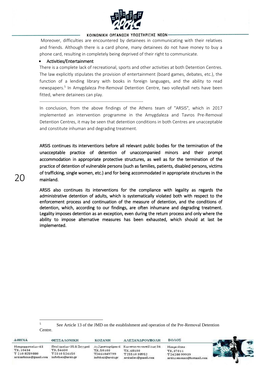

Moreover, difficulties are encountered by detainees in communicating with their relatives and friends. Although there is a card phone, many detainees do not have money to buy a phone card, resulting in completely being deprived of their right to communicate.

#### • Activities/Entertainment

There is a complete lack of recreational, sports and other activities at both Detention Centres. The law explicitly stipulates the provision of entertainment (board games, debates, etc.), the function of a lending library with books in foreign languages, and the ability to read newspapers.<sup>5</sup> In Amygdaleza Pre-Removal Detention Centre, two volleyball nets have been fitted, where detainees can play.

----------------------------------------------------------------------

In conclusion, from the above findings of the Athens team of "ARSIS", which in 2017 implemented an intervention programme in the Amygdaleza and Tavros Pre-Removal Detention Centres, it may be seen that detention conditions in both Centres are unacceptable and constitute inhuman and degrading treatment.

ARSIS continues its interventions before all relevant public bodies for the termination of the unacceptable practice of detention of unaccompanied minors and their prompt accommodation in appropriate protective structures, as well as for the termination of the practice of detention of vulnerable persons (such as families, patients, disabled persons, victims of trafficking, single women, etc.) and for being accommodated in appropriate structures in the mainland.

ARSIS also continues its interventions for the compliance with legality as regards the administrative detention of adults, which is systematically violated both with respect to the enforcement process and continuation of the measure of detention, and the conditions of detention, which, according to our findings, are often inhumane and degrading treatment. Legality imposes detention as an exception, even during the return process and only where the ability to impose alternative measures has been exhausted, which should at last be implemented.

<sup>5</sup> See Article 13 of the JMD on the establishment and operation of the Pre-Removal Detention Centre.

| AOHNA                 | <b>ΘΕΣΣΑΛΟΝΙΚΗ</b>      | <b>KOZANH</b>    | ΑΛΕΞΑΝΔΡΟΥΠΟΛΗ        | ΒΟΛΟΣ                    |  |
|-----------------------|-------------------------|------------------|-----------------------|--------------------------|--|
| Μαυρομματαίων 43      | Πτολεμαίων 35 & Συγγρού | Αγ.Χριστοφόρου 6 | Κωνσταντινουπόλεως 34 | Μακρινίτσα               |  |
| T.K. 10434            | TK.54630                | T.K.50100        | T.K. 68100            | T.K. 37011               |  |
| T 210 8259880         | T2310526150             | T2461049799      | T2551038952           | T2428099939              |  |
| arsisathina@gmail.com | infothes@arsis.gr       | infokoz@arsis.gr | arsisalex@gmail.com   | arsisxenonas@hotmail.com |  |

**.**